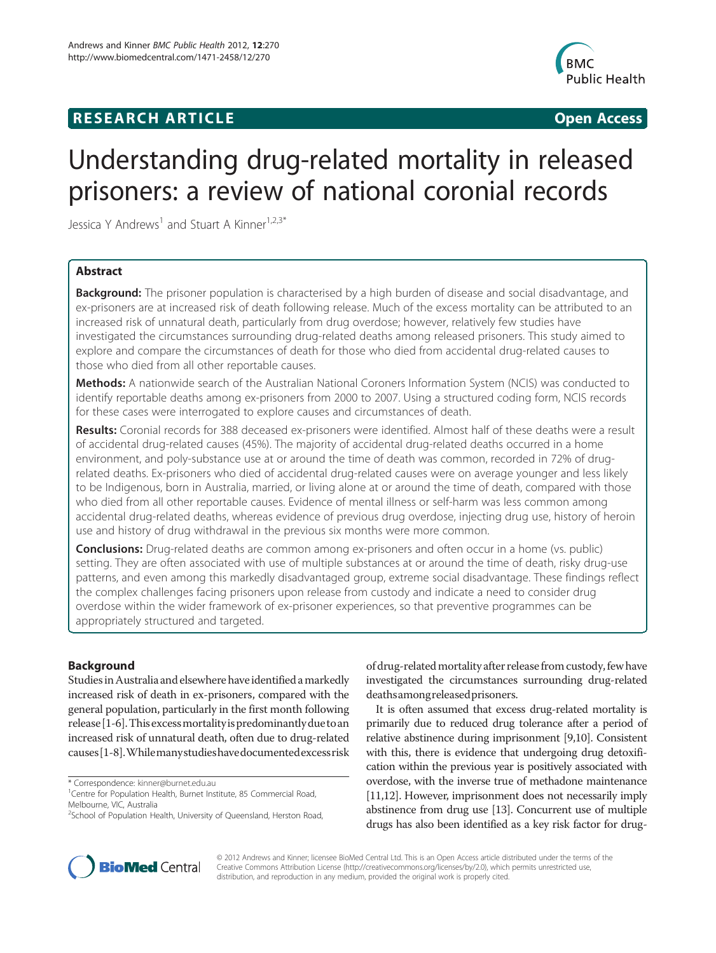## **RESEARCH ARTICLE Example 2018 12:00 Open Access**



# Understanding drug-related mortality in released prisoners: a review of national coronial records

Jessica Y Andrews<sup>1</sup> and Stuart A Kinner<sup>1,2,3\*</sup>

## Abstract

**Background:** The prisoner population is characterised by a high burden of disease and social disadvantage, and ex-prisoners are at increased risk of death following release. Much of the excess mortality can be attributed to an increased risk of unnatural death, particularly from drug overdose; however, relatively few studies have investigated the circumstances surrounding drug-related deaths among released prisoners. This study aimed to explore and compare the circumstances of death for those who died from accidental drug-related causes to those who died from all other reportable causes.

Methods: A nationwide search of the Australian National Coroners Information System (NCIS) was conducted to identify reportable deaths among ex-prisoners from 2000 to 2007. Using a structured coding form, NCIS records for these cases were interrogated to explore causes and circumstances of death.

Results: Coronial records for 388 deceased ex-prisoners were identified. Almost half of these deaths were a result of accidental drug-related causes (45%). The majority of accidental drug-related deaths occurred in a home environment, and poly-substance use at or around the time of death was common, recorded in 72% of drugrelated deaths. Ex-prisoners who died of accidental drug-related causes were on average younger and less likely to be Indigenous, born in Australia, married, or living alone at or around the time of death, compared with those who died from all other reportable causes. Evidence of mental illness or self-harm was less common among accidental drug-related deaths, whereas evidence of previous drug overdose, injecting drug use, history of heroin use and history of drug withdrawal in the previous six months were more common.

**Conclusions:** Drug-related deaths are common among ex-prisoners and often occur in a home (vs. public) setting. They are often associated with use of multiple substances at or around the time of death, risky drug-use patterns, and even among this markedly disadvantaged group, extreme social disadvantage. These findings reflect the complex challenges facing prisoners upon release from custody and indicate a need to consider drug overdose within the wider framework of ex-prisoner experiences, so that preventive programmes can be appropriately structured and targeted.

## Background

Studiesin Australia and elsewhere haveidentified amarkedly increased risk of death in ex-prisoners, compared with the general population, particularly in the first month following release [[1-6](#page-5-0)].Thisexcessmortalityispredominantlydue toan increased risk of unnatural death, often due to drug-related causes[\[1-8](#page-5-0)].Whilemanystudieshavedocumentedexcessrisk

\* Correspondence: [kinner@burnet.edu.au](mailto:kinner@burnet.edu.au) <sup>1</sup>

of drug-related mortality after release from custody, few have investigated the circumstances surrounding drug-related deathsamongreleasedprisoners.

It is often assumed that excess drug-related mortality is primarily due to reduced drug tolerance after a period of relative abstinence during imprisonment [\[9,10](#page-5-0)]. Consistent with this, there is evidence that undergoing drug detoxification within the previous year is positively associated with overdose, with the inverse true of methadone maintenance [[11,12\]](#page-5-0). However, imprisonment does not necessarily imply abstinence from drug use [\[13\]](#page-5-0). Concurrent use of multiple drugs has also been identified as a key risk factor for drug-



© 2012 Andrews and Kinner; licensee BioMed Central Ltd. This is an Open Access article distributed under the terms of the Creative Commons Attribution License (http://creativecommons.org/licenses/by/2.0), which permits unrestricted use, distribution, and reproduction in any medium, provided the original work is properly cited.

<sup>&</sup>lt;sup>1</sup> Centre for Population Health, Burnet Institute, 85 Commercial Road, Melbourne, VIC, Australia

<sup>&</sup>lt;sup>2</sup>School of Population Health, University of Queensland, Herston Road,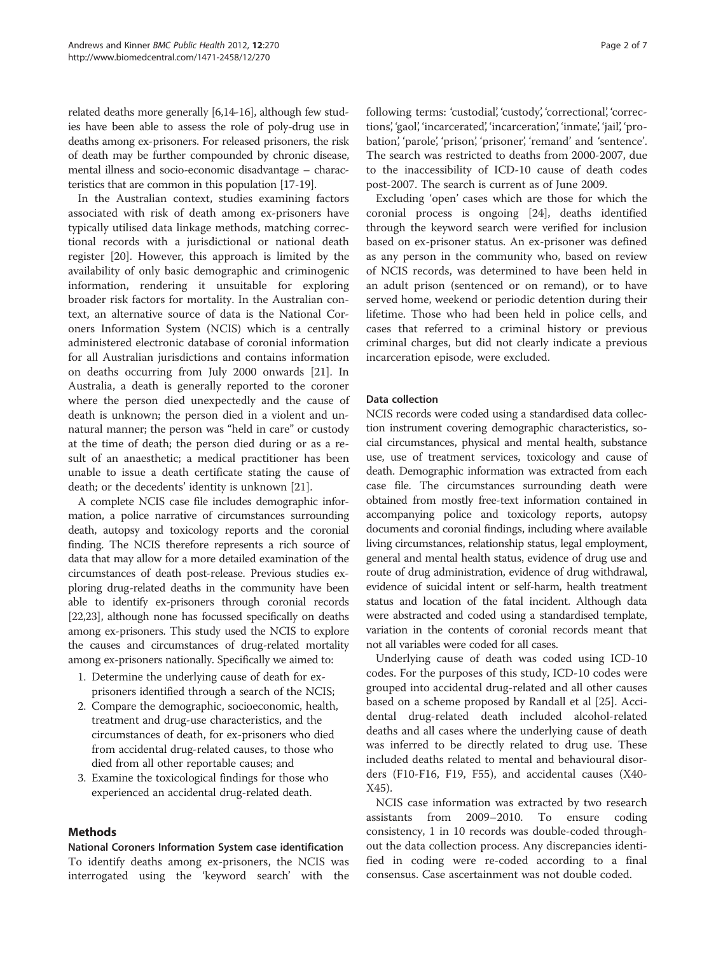related deaths more generally [\[6,14](#page-5-0)-[16](#page-5-0)], although few studies have been able to assess the role of poly-drug use in deaths among ex-prisoners. For released prisoners, the risk of death may be further compounded by chronic disease, mental illness and socio-economic disadvantage – characteristics that are common in this population [\[17](#page-5-0)[-19](#page-6-0)].

In the Australian context, studies examining factors associated with risk of death among ex-prisoners have typically utilised data linkage methods, matching correctional records with a jurisdictional or national death register [[20\]](#page-6-0). However, this approach is limited by the availability of only basic demographic and criminogenic information, rendering it unsuitable for exploring broader risk factors for mortality. In the Australian context, an alternative source of data is the National Coroners Information System (NCIS) which is a centrally administered electronic database of coronial information for all Australian jurisdictions and contains information on deaths occurring from July 2000 onwards [[21](#page-6-0)]. In Australia, a death is generally reported to the coroner where the person died unexpectedly and the cause of death is unknown; the person died in a violent and unnatural manner; the person was "held in care" or custody at the time of death; the person died during or as a result of an anaesthetic; a medical practitioner has been unable to issue a death certificate stating the cause of death; or the decedents' identity is unknown [[21\]](#page-6-0).

A complete NCIS case file includes demographic information, a police narrative of circumstances surrounding death, autopsy and toxicology reports and the coronial finding. The NCIS therefore represents a rich source of data that may allow for a more detailed examination of the circumstances of death post-release. Previous studies exploring drug-related deaths in the community have been able to identify ex-prisoners through coronial records [[22,23\]](#page-6-0), although none has focussed specifically on deaths among ex-prisoners. This study used the NCIS to explore the causes and circumstances of drug-related mortality among ex-prisoners nationally. Specifically we aimed to:

- 1. Determine the underlying cause of death for exprisoners identified through a search of the NCIS;
- 2. Compare the demographic, socioeconomic, health, treatment and drug-use characteristics, and the circumstances of death, for ex-prisoners who died from accidental drug-related causes, to those who died from all other reportable causes; and
- 3. Examine the toxicological findings for those who experienced an accidental drug-related death.

## Methods

National Coroners Information System case identification To identify deaths among ex-prisoners, the NCIS was interrogated using the 'keyword search' with the

following terms: 'custodial', 'custody', 'correctional', 'corrections', 'gaol', 'incarcerated', 'incarceration', 'inmate', 'jail', 'probation', 'parole', 'prison', 'prisoner', 'remand' and 'sentence'. The search was restricted to deaths from 2000-2007, due to the inaccessibility of ICD-10 cause of death codes post-2007. The search is current as of June 2009.

Excluding 'open' cases which are those for which the coronial process is ongoing [[24\]](#page-6-0), deaths identified through the keyword search were verified for inclusion based on ex-prisoner status. An ex-prisoner was defined as any person in the community who, based on review of NCIS records, was determined to have been held in an adult prison (sentenced or on remand), or to have served home, weekend or periodic detention during their lifetime. Those who had been held in police cells, and cases that referred to a criminal history or previous criminal charges, but did not clearly indicate a previous incarceration episode, were excluded.

## Data collection

NCIS records were coded using a standardised data collection instrument covering demographic characteristics, social circumstances, physical and mental health, substance use, use of treatment services, toxicology and cause of death. Demographic information was extracted from each case file. The circumstances surrounding death were obtained from mostly free-text information contained in accompanying police and toxicology reports, autopsy documents and coronial findings, including where available living circumstances, relationship status, legal employment, general and mental health status, evidence of drug use and route of drug administration, evidence of drug withdrawal, evidence of suicidal intent or self-harm, health treatment status and location of the fatal incident. Although data were abstracted and coded using a standardised template, variation in the contents of coronial records meant that not all variables were coded for all cases.

Underlying cause of death was coded using ICD-10 codes. For the purposes of this study, ICD-10 codes were grouped into accidental drug-related and all other causes based on a scheme proposed by Randall et al [\[25](#page-6-0)]. Accidental drug-related death included alcohol-related deaths and all cases where the underlying cause of death was inferred to be directly related to drug use. These included deaths related to mental and behavioural disorders (F10-F16, F19, F55), and accidental causes (X40- X45).

NCIS case information was extracted by two research assistants from 2009–2010. To ensure coding consistency, 1 in 10 records was double-coded throughout the data collection process. Any discrepancies identified in coding were re-coded according to a final consensus. Case ascertainment was not double coded.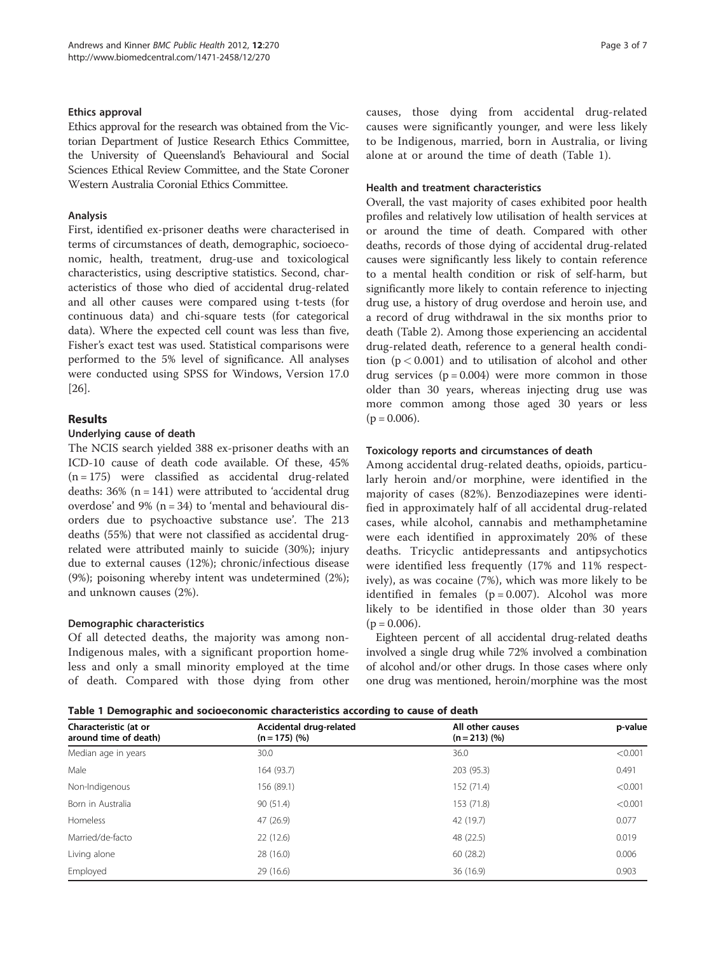## Ethics approval

Ethics approval for the research was obtained from the Victorian Department of Justice Research Ethics Committee, the University of Queensland's Behavioural and Social Sciences Ethical Review Committee, and the State Coroner Western Australia Coronial Ethics Committee.

## Analysis

First, identified ex-prisoner deaths were characterised in terms of circumstances of death, demographic, socioeconomic, health, treatment, drug-use and toxicological characteristics, using descriptive statistics. Second, characteristics of those who died of accidental drug-related and all other causes were compared using t-tests (for continuous data) and chi-square tests (for categorical data). Where the expected cell count was less than five, Fisher's exact test was used. Statistical comparisons were performed to the 5% level of significance. All analyses were conducted using SPSS for Windows, Version 17.0 [[26\]](#page-6-0).

## Results

## Underlying cause of death

The NCIS search yielded 388 ex-prisoner deaths with an ICD-10 cause of death code available. Of these, 45% (n = 175) were classified as accidental drug-related deaths:  $36\%$  (n = 141) were attributed to 'accidental drug overdose' and 9% (n = 34) to 'mental and behavioural disorders due to psychoactive substance use'. The 213 deaths (55%) that were not classified as accidental drugrelated were attributed mainly to suicide (30%); injury due to external causes (12%); chronic/infectious disease (9%); poisoning whereby intent was undetermined (2%); and unknown causes (2%).

## Demographic characteristics

Of all detected deaths, the majority was among non-Indigenous males, with a significant proportion homeless and only a small minority employed at the time of death. Compared with those dying from other causes, those dying from accidental drug-related causes were significantly younger, and were less likely to be Indigenous, married, born in Australia, or living alone at or around the time of death (Table 1).

## Health and treatment characteristics

Overall, the vast majority of cases exhibited poor health profiles and relatively low utilisation of health services at or around the time of death. Compared with other deaths, records of those dying of accidental drug-related causes were significantly less likely to contain reference to a mental health condition or risk of self-harm, but significantly more likely to contain reference to injecting drug use, a history of drug overdose and heroin use, and a record of drug withdrawal in the six months prior to death (Table [2](#page-3-0)). Among those experiencing an accidental drug-related death, reference to a general health condition  $(p < 0.001)$  and to utilisation of alcohol and other drug services  $(p = 0.004)$  were more common in those older than 30 years, whereas injecting drug use was more common among those aged 30 years or less  $(p = 0.006)$ .

## Toxicology reports and circumstances of death

Among accidental drug-related deaths, opioids, particularly heroin and/or morphine, were identified in the majority of cases (82%). Benzodiazepines were identified in approximately half of all accidental drug-related cases, while alcohol, cannabis and methamphetamine were each identified in approximately 20% of these deaths. Tricyclic antidepressants and antipsychotics were identified less frequently (17% and 11% respectively), as was cocaine (7%), which was more likely to be identified in females  $(p = 0.007)$ . Alcohol was more likely to be identified in those older than 30 years  $(p = 0.006)$ .

Eighteen percent of all accidental drug-related deaths involved a single drug while 72% involved a combination of alcohol and/or other drugs. In those cases where only one drug was mentioned, heroin/morphine was the most

Table 1 Demographic and socioeconomic characteristics according to cause of death

| Characteristic (at or<br>around time of death) | Accidental drug-related<br>$(n = 175)$ (%) | All other causes<br>$(n = 213)$ (%) | p-value |
|------------------------------------------------|--------------------------------------------|-------------------------------------|---------|
| Median age in years                            | 30.0                                       | 36.0                                | < 0.001 |
| Male                                           | 164 (93.7)                                 | 203 (95.3)                          | 0.491   |
| Non-Indigenous                                 | 156 (89.1)                                 | 152 (71.4)                          | < 0.001 |
| Born in Australia                              | 90(51.4)                                   | 153 (71.8)                          | < 0.001 |
| Homeless                                       | 47 (26.9)                                  | 42 (19.7)                           | 0.077   |
| Married/de-facto                               | 22(12.6)                                   | 48 (22.5)                           | 0.019   |
| Living alone                                   | 28 (16.0)                                  | 60(28.2)                            | 0.006   |
| Employed                                       | 29 (16.6)                                  | 36 (16.9)                           | 0.903   |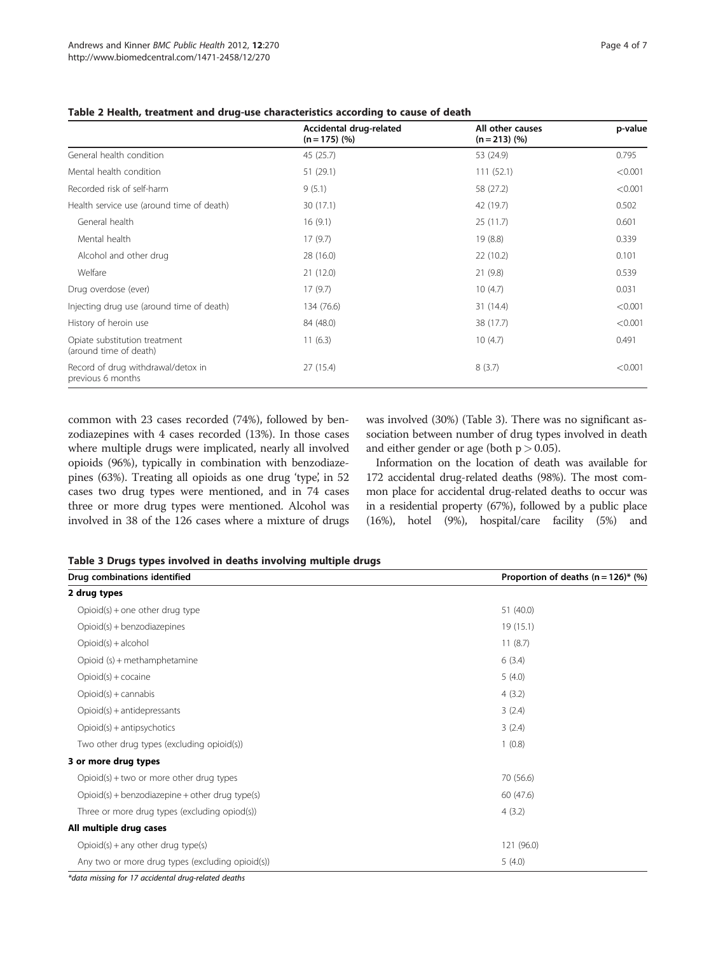|                                                         | Accidental drug-related<br>$(n = 175)$ (%) | All other causes<br>$(n = 213)$ (%) | p-value |
|---------------------------------------------------------|--------------------------------------------|-------------------------------------|---------|
| General health condition                                | 45 (25.7)                                  | 53 (24.9)                           | 0.795   |
| Mental health condition                                 | 51(29.1)                                   | 111(52.1)                           | < 0.001 |
| Recorded risk of self-harm                              | 9(5.1)                                     | 58 (27.2)                           | < 0.001 |
| Health service use (around time of death)               | 30(17.1)                                   | 42 (19.7)                           | 0.502   |
| General health                                          | 16(9.1)                                    | 25(11.7)                            | 0.601   |
| Mental health                                           | 17(9.7)                                    | 19 (8.8)                            | 0.339   |
| Alcohol and other drug                                  | 28 (16.0)                                  | 22(10.2)                            | 0.101   |
| Welfare                                                 | 21(12.0)                                   | 21(9.8)                             | 0.539   |
| Drug overdose (ever)                                    | 17(9.7)                                    | 10(4.7)                             | 0.031   |
| Injecting drug use (around time of death)               | 134 (76.6)                                 | 31(14.4)                            | < 0.001 |
| History of heroin use                                   | 84 (48.0)                                  | 38 (17.7)                           | < 0.001 |
| Opiate substitution treatment<br>(around time of death) | 11(6.3)                                    | 10(4.7)                             | 0.491   |
| Record of drug withdrawal/detox in<br>previous 6 months | 27 (15.4)                                  | 8(3.7)                              | < 0.001 |

## <span id="page-3-0"></span>Table 2 Health, treatment and drug-use characteristics according to cause of death

common with 23 cases recorded (74%), followed by benzodiazepines with 4 cases recorded (13%). In those cases where multiple drugs were implicated, nearly all involved opioids (96%), typically in combination with benzodiazepines (63%). Treating all opioids as one drug 'type', in 52 cases two drug types were mentioned, and in 74 cases three or more drug types were mentioned. Alcohol was involved in 38 of the 126 cases where a mixture of drugs

was involved (30%) (Table 3). There was no significant association between number of drug types involved in death and either gender or age (both  $p > 0.05$ ).

Information on the location of death was available for 172 accidental drug-related deaths (98%). The most common place for accidental drug-related deaths to occur was in a residential property (67%), followed by a public place (16%), hotel (9%), hospital/care facility (5%) and

Table 3 Drugs types involved in deaths involving multiple drugs

| Drug combinations identified                        | Proportion of deaths $(n = 126)^*$ (%) |  |  |
|-----------------------------------------------------|----------------------------------------|--|--|
| 2 drug types                                        |                                        |  |  |
| $Opioid(s) + one other drug type$                   | 51 (40.0)                              |  |  |
| Opioid(s) + benzodiazepines                         | 19 (15.1)                              |  |  |
| $Opioid(s) + alcohol$                               | 11(8.7)                                |  |  |
| Opioid (s) + methamphetamine                        | 6(3.4)                                 |  |  |
| $Opioid(s) + cocaine$                               | 5(4.0)                                 |  |  |
| $Oploid(s) + cannabis$                              | 4(3.2)                                 |  |  |
| $Opioid(s) + antidepressants$                       | 3(2.4)                                 |  |  |
| $Opiod(s) + antipsychotics$                         | 3(2.4)                                 |  |  |
| Two other drug types (excluding opioid(s))          | 1(0.8)                                 |  |  |
| 3 or more drug types                                |                                        |  |  |
| $Opiod(s) + two$ or more other drug types           | 70 (56.6)                              |  |  |
| $Opioid(s) + benzodiazepine + other drug type(s)$   | 60 (47.6)                              |  |  |
| Three or more drug types (excluding opiod(s))       | 4(3.2)                                 |  |  |
| All multiple drug cases                             |                                        |  |  |
| $Opiod(s) + any other drug type(s)$                 | 121 (96.0)                             |  |  |
| Any two or more drug types (excluding opioid(s))    | 5(4.0)                                 |  |  |
| *data missing for 17 accidental drug-related deaths |                                        |  |  |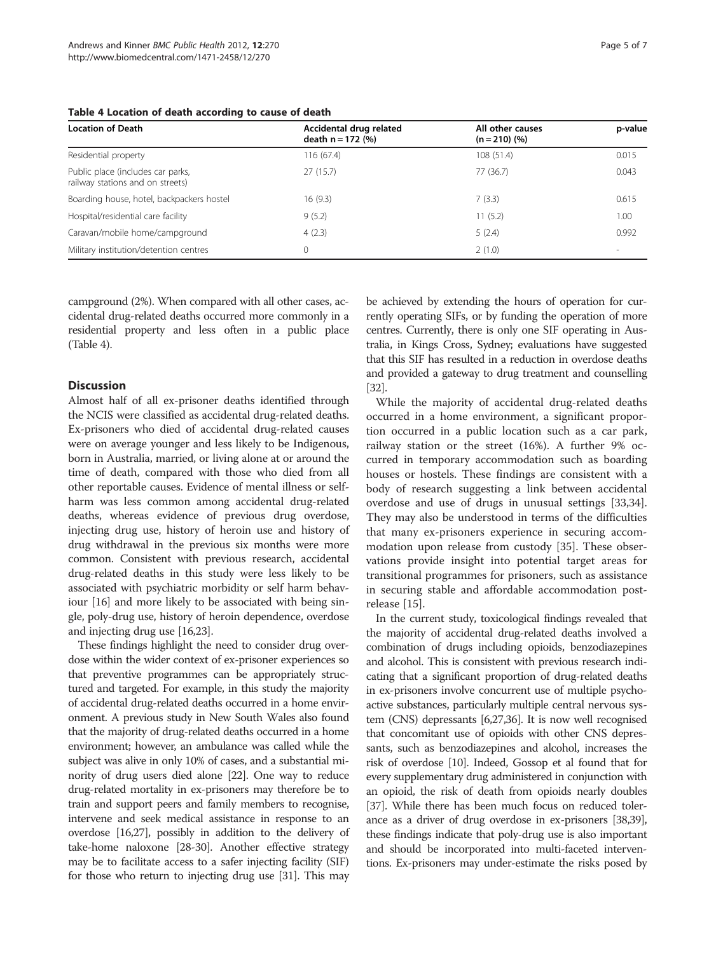| <b>Location of Death</b>                                              | Accidental drug related<br>death $n = 172$ (%) | All other causes<br>$(n = 210)$ (%) | p-value |
|-----------------------------------------------------------------------|------------------------------------------------|-------------------------------------|---------|
| Residential property                                                  | 116 (67.4)                                     | 108(51.4)                           | 0.015   |
| Public place (includes car parks,<br>railway stations and on streets) | 27(15.7)                                       | 77 (36.7)                           | 0.043   |
| Boarding house, hotel, backpackers hostel                             | 16(9.3)                                        | 7(3.3)                              | 0.615   |
| Hospital/residential care facility                                    | 9(5.2)                                         | 11(5.2)                             | 1.00    |
| Caravan/mobile home/campground                                        | 4(2.3)                                         | 5(2.4)                              | 0.992   |
| Military institution/detention centres                                | $\mathbf{0}$                                   | 2(1.0)                              |         |

#### Table 4 Location of death according to cause of death

campground (2%). When compared with all other cases, accidental drug-related deaths occurred more commonly in a residential property and less often in a public place (Table 4).

## **Discussion**

Almost half of all ex-prisoner deaths identified through the NCIS were classified as accidental drug-related deaths. Ex-prisoners who died of accidental drug-related causes were on average younger and less likely to be Indigenous, born in Australia, married, or living alone at or around the time of death, compared with those who died from all other reportable causes. Evidence of mental illness or selfharm was less common among accidental drug-related deaths, whereas evidence of previous drug overdose, injecting drug use, history of heroin use and history of drug withdrawal in the previous six months were more common. Consistent with previous research, accidental drug-related deaths in this study were less likely to be associated with psychiatric morbidity or self harm behaviour [\[16](#page-5-0)] and more likely to be associated with being single, poly-drug use, history of heroin dependence, overdose and injecting drug use [\[16,](#page-5-0)[23](#page-6-0)].

These findings highlight the need to consider drug overdose within the wider context of ex-prisoner experiences so that preventive programmes can be appropriately structured and targeted. For example, in this study the majority of accidental drug-related deaths occurred in a home environment. A previous study in New South Wales also found that the majority of drug-related deaths occurred in a home environment; however, an ambulance was called while the subject was alive in only 10% of cases, and a substantial minority of drug users died alone [\[22\]](#page-6-0). One way to reduce drug-related mortality in ex-prisoners may therefore be to train and support peers and family members to recognise, intervene and seek medical assistance in response to an overdose [[16](#page-5-0)[,27](#page-6-0)], possibly in addition to the delivery of take-home naloxone [[28-30\]](#page-6-0). Another effective strategy may be to facilitate access to a safer injecting facility (SIF) for those who return to injecting drug use [\[31](#page-6-0)]. This may

be achieved by extending the hours of operation for currently operating SIFs, or by funding the operation of more centres. Currently, there is only one SIF operating in Australia, in Kings Cross, Sydney; evaluations have suggested that this SIF has resulted in a reduction in overdose deaths and provided a gateway to drug treatment and counselling [[32](#page-6-0)].

While the majority of accidental drug-related deaths occurred in a home environment, a significant proportion occurred in a public location such as a car park, railway station or the street (16%). A further 9% occurred in temporary accommodation such as boarding houses or hostels. These findings are consistent with a body of research suggesting a link between accidental overdose and use of drugs in unusual settings [\[33,34](#page-6-0)]. They may also be understood in terms of the difficulties that many ex-prisoners experience in securing accommodation upon release from custody [\[35\]](#page-6-0). These observations provide insight into potential target areas for transitional programmes for prisoners, such as assistance in securing stable and affordable accommodation postrelease [[15](#page-5-0)].

In the current study, toxicological findings revealed that the majority of accidental drug-related deaths involved a combination of drugs including opioids, benzodiazepines and alcohol. This is consistent with previous research indicating that a significant proportion of drug-related deaths in ex-prisoners involve concurrent use of multiple psychoactive substances, particularly multiple central nervous system (CNS) depressants [[6](#page-5-0)[,27,36](#page-6-0)]. It is now well recognised that concomitant use of opioids with other CNS depressants, such as benzodiazepines and alcohol, increases the risk of overdose [[10](#page-5-0)]. Indeed, Gossop et al found that for every supplementary drug administered in conjunction with an opioid, the risk of death from opioids nearly doubles [[37](#page-6-0)]. While there has been much focus on reduced tolerance as a driver of drug overdose in ex-prisoners [[38,39](#page-6-0)], these findings indicate that poly-drug use is also important and should be incorporated into multi-faceted interventions. Ex-prisoners may under-estimate the risks posed by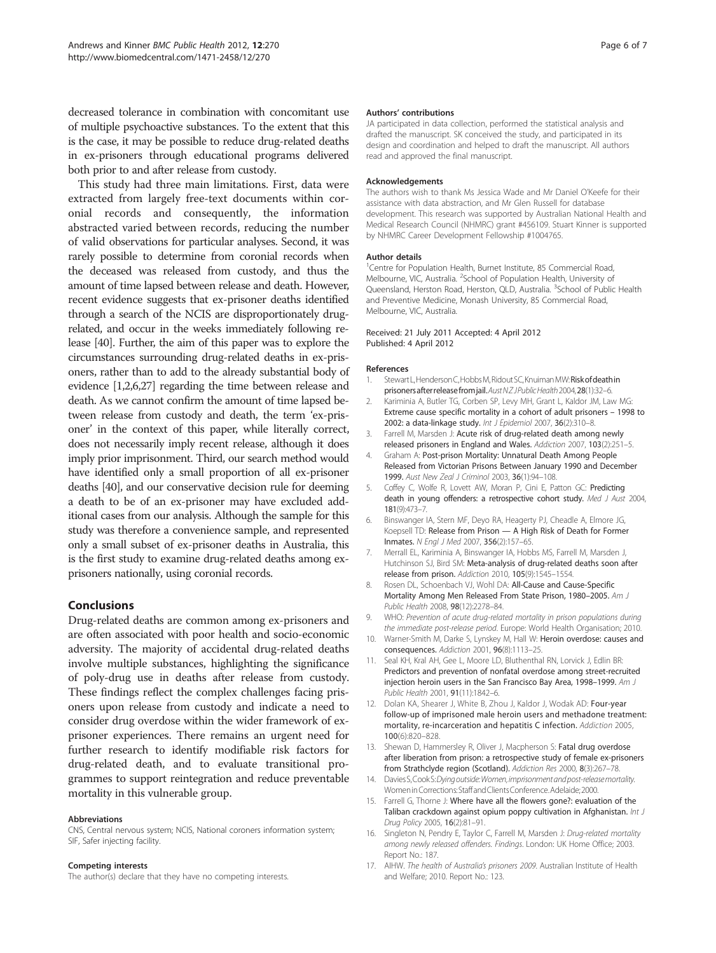<span id="page-5-0"></span>decreased tolerance in combination with concomitant use of multiple psychoactive substances. To the extent that this is the case, it may be possible to reduce drug-related deaths in ex-prisoners through educational programs delivered both prior to and after release from custody.

This study had three main limitations. First, data were extracted from largely free-text documents within coronial records and consequently, the information abstracted varied between records, reducing the number of valid observations for particular analyses. Second, it was rarely possible to determine from coronial records when the deceased was released from custody, and thus the amount of time lapsed between release and death. However, recent evidence suggests that ex-prisoner deaths identified through a search of the NCIS are disproportionately drugrelated, and occur in the weeks immediately following release [\[40\]](#page-6-0). Further, the aim of this paper was to explore the circumstances surrounding drug-related deaths in ex-prisoners, rather than to add to the already substantial body of evidence [1,2,6[,27](#page-6-0)] regarding the time between release and death. As we cannot confirm the amount of time lapsed between release from custody and death, the term 'ex-prisoner' in the context of this paper, while literally correct, does not necessarily imply recent release, although it does imply prior imprisonment. Third, our search method would have identified only a small proportion of all ex-prisoner deaths [[40](#page-6-0)], and our conservative decision rule for deeming a death to be of an ex-prisoner may have excluded additional cases from our analysis. Although the sample for this study was therefore a convenience sample, and represented only a small subset of ex-prisoner deaths in Australia, this is the first study to examine drug-related deaths among exprisoners nationally, using coronial records.

## **Conclusions**

Drug-related deaths are common among ex-prisoners and are often associated with poor health and socio-economic adversity. The majority of accidental drug-related deaths involve multiple substances, highlighting the significance of poly-drug use in deaths after release from custody. These findings reflect the complex challenges facing prisoners upon release from custody and indicate a need to consider drug overdose within the wider framework of exprisoner experiences. There remains an urgent need for further research to identify modifiable risk factors for drug-related death, and to evaluate transitional programmes to support reintegration and reduce preventable mortality in this vulnerable group.

#### Abbreviations

CNS, Central nervous system; NCIS, National coroners information system; SIF, Safer injecting facility.

#### Competing interests

The author(s) declare that they have no competing interests.

#### Authors' contributions

JA participated in data collection, performed the statistical analysis and drafted the manuscript. SK conceived the study, and participated in its design and coordination and helped to draft the manuscript. All authors read and approved the final manuscript.

#### Acknowledgements

The authors wish to thank Ms Jessica Wade and Mr Daniel O'Keefe for their assistance with data abstraction, and Mr Glen Russell for database development. This research was supported by Australian National Health and Medical Research Council (NHMRC) grant #456109. Stuart Kinner is supported by NHMRC Career Development Fellowship #1004765.

#### Author details

<sup>1</sup> Centre for Population Health, Burnet Institute, 85 Commercial Road, Melbourne, VIC, Australia. <sup>2</sup>School of Population Health, University of Queensland, Herston Road, Herston, QLD, Australia. <sup>3</sup>School of Public Health and Preventive Medicine, Monash University, 85 Commercial Road, Melbourne, VIC, Australia.

#### Received: 21 July 2011 Accepted: 4 April 2012 Published: 4 April 2012

#### References

- 1. StewartL, Henderson C, Hobbs M, Ridout SC, Knuiman MW: Risk of death in prisoners after release from jail. Aust NZJ Public Health 2004, 28(1):32-6.
- 2. Kariminia A, Butler TG, Corben SP, Levy MH, Grant L, Kaldor JM, Law MG: Extreme cause specific mortality in a cohort of adult prisoners – 1998 to 2002: a data-linkage study. Int J Epidemiol 2007, 36(2):310–8.
- 3. Farrell M, Marsden J: Acute risk of drug-related death among newly released prisoners in England and Wales. Addiction 2007, 103(2):251–5.
- 4. Graham A: Post-prison Mortality: Unnatural Death Among People Released from Victorian Prisons Between January 1990 and December 1999. Aust New Zeal J Criminol 2003, 36(1):94–108.
- 5. Coffey C, Wolfe R, Lovett AW, Moran P, Cini E, Patton GC: Predicting death in young offenders: a retrospective cohort study. Med J Aust 2004, 181(9):473–7.
- 6. Binswanger IA, Stern MF, Deyo RA, Heagerty PJ, Cheadle A, Elmore JG, Koepsell TD: Release from Prison — A High Risk of Death for Former Inmates. N Engl J Med 2007, 356(2):157–65.
- 7. Merrall EL, Kariminia A, Binswanger IA, Hobbs MS, Farrell M, Marsden J, Hutchinson SJ, Bird SM: Meta-analysis of drug-related deaths soon after release from prison. Addiction 2010, 105(9):1545–1554.
- 8. Rosen DL, Schoenbach VJ, Wohl DA: All-Cause and Cause-Specific Mortality Among Men Released From State Prison, 1980–2005. Am J Public Health 2008, 98(12):2278–84.
- 9. WHO: Prevention of acute drug-related mortality in prison populations during the immediate post-release period. Europe: World Health Organisation; 2010.
- 10. Warner-Smith M, Darke S, Lynskey M, Hall W: Heroin overdose: causes and consequences. Addiction 2001, 96(8):1113–25.
- 11. Seal KH, Kral AH, Gee L, Moore LD, Bluthenthal RN, Lorvick J, Edlin BR: Predictors and prevention of nonfatal overdose among street-recruited injection heroin users in the San Francisco Bay Area, 1998–1999. Am J Public Health 2001, 91(11):1842–6.
- 12. Dolan KA, Shearer J, White B, Zhou J, Kaldor J, Wodak AD: Four-year follow-up of imprisoned male heroin users and methadone treatment: mortality, re-incarceration and hepatitis C infection. Addiction 2005, 100(6):820–828.
- 13. Shewan D, Hammersley R, Oliver J, Macpherson S: Fatal drug overdose after liberation from prison: a retrospective study of female ex-prisoners from Strathclyde region (Scotland). Addiction Res 2000, 8(3):267–78.
- 14. DaviesS,CookS:Dyingoutside:Women,imprisonmentandpost-releasemortality. WomeninCorrections:StaffandClientsConference.Adelaide;2000.
- 15. Farrell G, Thorne J: Where have all the flowers gone?: evaluation of the Taliban crackdown against opium poppy cultivation in Afghanistan. Int J Drug Policy 2005, 16(2):81–91.
- 16. Singleton N, Pendry E, Taylor C, Farrell M, Marsden J: Drug-related mortality among newly released offenders. Findings. London: UK Home Office; 2003. Report No.: 187.
- 17. AIHW. The health of Australia's prisoners 2009. Australian Institute of Health and Welfare; 2010. Report No.: 123.